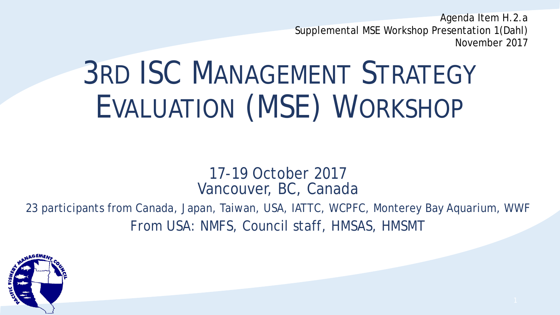Agenda Item H.2.a Supplemental MSE Workshop Presentation 1(Dahl) November 2017

# 3RD ISC MANAGEMENT STRATEGY EVALUATION (MSE) WORKSHOP

17-19 October 2017 Vancouver, BC, Canada

23 participants from Canada, Japan, Taiwan, USA, IATTC, WCPFC, Monterey Bay Aquarium, WWF From USA: NMFS, Council staff, HMSAS, HMSMT

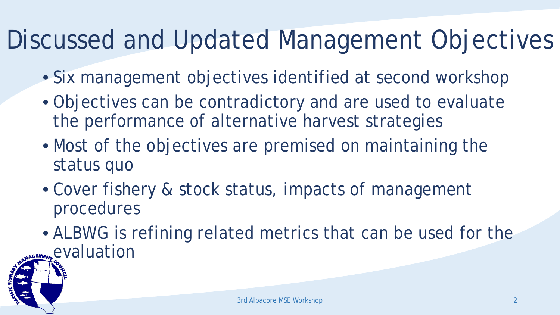## Discussed and Updated Management Objectives

- Six management objectives identified at second workshop
- Objectives can be contradictory and are used to evaluate the performance of alternative harvest strategies
- Most of the objectives are premised on maintaining the status quo
- Cover fishery & stock status, impacts of management procedures
- ALBWG is refining related metrics that can be used for the **MAGEMEN**, EValuation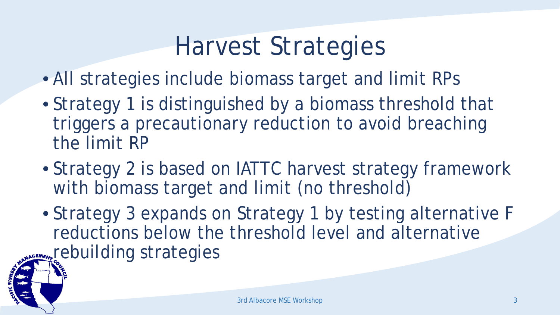## Harvest Strategies

- All strategies include biomass target and limit RPs
- Strategy 1 is distinguished by a biomass threshold that triggers a precautionary reduction to avoid breaching the limit RP
- Strategy 2 is based on IATTC harvest strategy framework with biomass target and limit (no threshold)
- Strategy 3 expands on Strategy 1 by testing alternative F reductions below the threshold level and alternative **ADGEMEN, CEDUILDING STRATEGIES**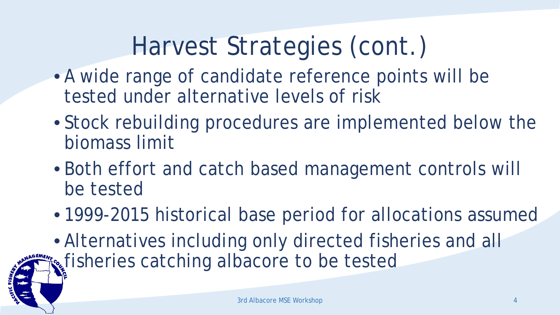# Harvest Strategies (cont.)

- A wide range of candidate reference points will be tested under alternative levels of risk
- Stock rebuilding procedures are implemented below the biomass limit
- Both effort and catch based management controls will be tested
- 1999-2015 historical base period for allocations assumed
- Alternatives including only directed fisheries and all for fisheries catching albacore to be tested